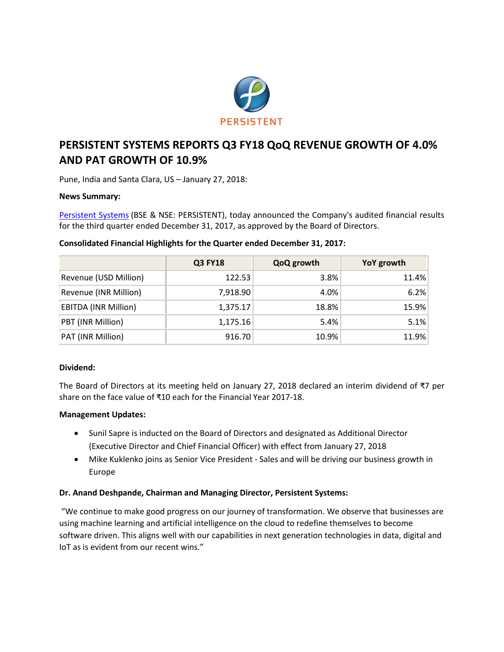

# **PERSISTENT SYSTEMS REPORTS Q3 FY18 QoQ REVENUE GROWTH OF 4.0% AND PAT GROWTH OF 10.9%**

Pune, India and Santa Clara, US – January 27, 2018:

# **News Summary:**

[Persistent Systems](http://www.persistent.com/) (BSE & NSE: PERSISTENT), today announced the Company's audited financial results for the third quarter ended December 31, 2017, as approved by the Board of Directors.

|                             | <b>Q3 FY18</b> | QoQ growth | YoY growth |
|-----------------------------|----------------|------------|------------|
| Revenue (USD Million)       | 122.53         | 3.8%       | 11.4%      |
| Revenue (INR Million)       | 7,918.90       | 4.0%       | 6.2%       |
| <b>EBITDA (INR Million)</b> | 1,375.17       | 18.8%      | 15.9%      |
| PBT (INR Million)           | 1,175.16       | 5.4%       | 5.1%       |
| PAT (INR Million)           | 916.70         | 10.9%      | 11.9%      |

### **Consolidated Financial Highlights for the Quarter ended December 31, 2017:**

#### **Dividend:**

The Board of Directors at its meeting held on January 27, 2018 declared an interim dividend of ₹7 per share on the face value of ₹10 each for the Financial Year 2017-18.

# **Management Updates:**

- Sunil Sapre is inducted on the Board of Directors and designated as Additional Director (Executive Director and Chief Financial Officer) with effect from January 27, 2018
- Mike Kuklenko joins as Senior Vice President Sales and will be driving our business growth in Europe

# **Dr. Anand Deshpande, Chairman and Managing Director, Persistent Systems:**

"We continue to make good progress on our journey of transformation. We observe that businesses are using machine learning and artificial intelligence on the cloud to redefine themselves to become software driven. This aligns well with our capabilities in next generation technologies in data, digital and IoT as is evident from our recent wins."